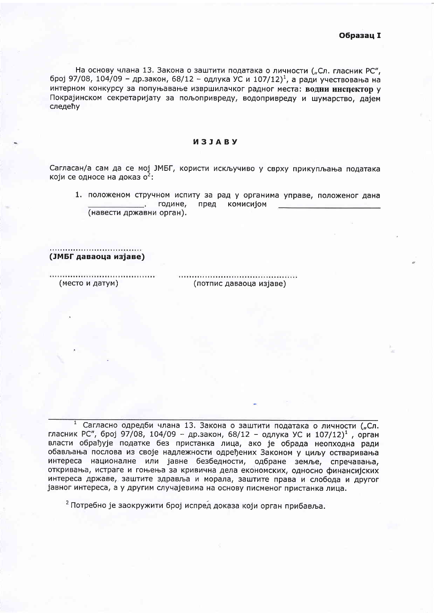На основу члана 13. Закона о заштити података о личности ("Сл. гласник РС", број 97/08, 104/09 - др.закон, 68/12 - одлука УС и 107/12)<sup>1</sup>, а ради учествовања на интерном конкурсу за попуњавање извршилачког радног места: водни инспектор у Покрајинском секретаријату за пољопривреду, водопривреду и шумарство, дајем следећу

## *<u>M3JARV</u>*

Сагласан/а сам да се мој ЈМБГ, користи искључиво у сврху прикупљања података који се односе на доказ о<sup>2</sup>:

1. положеном стручном испиту за рад у органима управе, положеног дана године, пред комисијом (навести државни орган).

(ЈМБГ даваоца изјаве)

(место и датум)

(потпис даваоца изјаве)

Сагласно одредби члана 13. Закона о заштити података о личности ("Сл. гласник РС", број 97/08, 104/09 - др.закон, 68/12 - одлука УС и 107/12)<sup>1</sup>, орган власти обрађује податке без пристанка лица, ако је обрада неопходна ради обављања послова из своје надлежности одређених Законом у циљу остваривања интереса националне или јавне безбедности, одбране земље, спречавања, откривања, истраге и гоњења за кривична дела економских, односно финансијских интереса државе, заштите здравља и морала, заштите права и слобода и другог јавног интереса, а у другим случајевима на основу писменог пристанка лица.

<sup>2</sup> Потребно је заокружити број испред доказа који орган прибавља.